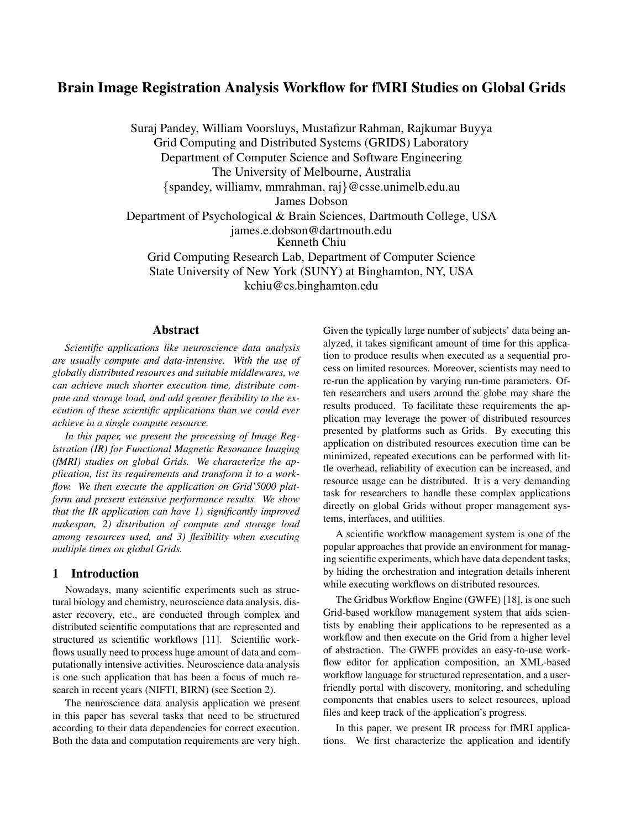# Brain Image Registration Analysis Workflow for fMRI Studies on Global Grids

Suraj Pandey, William Voorsluys, Mustafizur Rahman, Rajkumar Buyya Grid Computing and Distributed Systems (GRIDS) Laboratory Department of Computer Science and Software Engineering The University of Melbourne, Australia {spandey, williamv, mmrahman, raj}@csse.unimelb.edu.au James Dobson Department of Psychological & Brain Sciences, Dartmouth College, USA james.e.dobson@dartmouth.edu Kenneth Chiu Grid Computing Research Lab, Department of Computer Science State University of New York (SUNY) at Binghamton, NY, USA kchiu@cs.binghamton.edu

# Abstract

*Scientific applications like neuroscience data analysis are usually compute and data-intensive. With the use of globally distributed resources and suitable middlewares, we can achieve much shorter execution time, distribute compute and storage load, and add greater flexibility to the execution of these scientific applications than we could ever achieve in a single compute resource.*

*In this paper, we present the processing of Image Registration (IR) for Functional Magnetic Resonance Imaging (fMRI) studies on global Grids. We characterize the application, list its requirements and transform it to a workflow. We then execute the application on Grid'5000 platform and present extensive performance results. We show that the IR application can have 1) significantly improved makespan, 2) distribution of compute and storage load among resources used, and 3) flexibility when executing multiple times on global Grids.*

#### 1 Introduction

Nowadays, many scientific experiments such as structural biology and chemistry, neuroscience data analysis, disaster recovery, etc., are conducted through complex and distributed scientific computations that are represented and structured as scientific workflows [11]. Scientific workflows usually need to process huge amount of data and computationally intensive activities. Neuroscience data analysis is one such application that has been a focus of much research in recent years (NIFTI, BIRN) (see Section 2).

The neuroscience data analysis application we present in this paper has several tasks that need to be structured according to their data dependencies for correct execution. Both the data and computation requirements are very high.

Given the typically large number of subjects' data being analyzed, it takes significant amount of time for this application to produce results when executed as a sequential process on limited resources. Moreover, scientists may need to re-run the application by varying run-time parameters. Often researchers and users around the globe may share the results produced. To facilitate these requirements the application may leverage the power of distributed resources presented by platforms such as Grids. By executing this application on distributed resources execution time can be minimized, repeated executions can be performed with little overhead, reliability of execution can be increased, and resource usage can be distributed. It is a very demanding task for researchers to handle these complex applications directly on global Grids without proper management systems, interfaces, and utilities.

A scientific workflow management system is one of the popular approaches that provide an environment for managing scientific experiments, which have data dependent tasks, by hiding the orchestration and integration details inherent while executing workflows on distributed resources.

The Gridbus Workflow Engine (GWFE) [18], is one such Grid-based workflow management system that aids scientists by enabling their applications to be represented as a workflow and then execute on the Grid from a higher level of abstraction. The GWFE provides an easy-to-use workflow editor for application composition, an XML-based workflow language for structured representation, and a userfriendly portal with discovery, monitoring, and scheduling components that enables users to select resources, upload files and keep track of the application's progress.

In this paper, we present IR process for fMRI applications. We first characterize the application and identify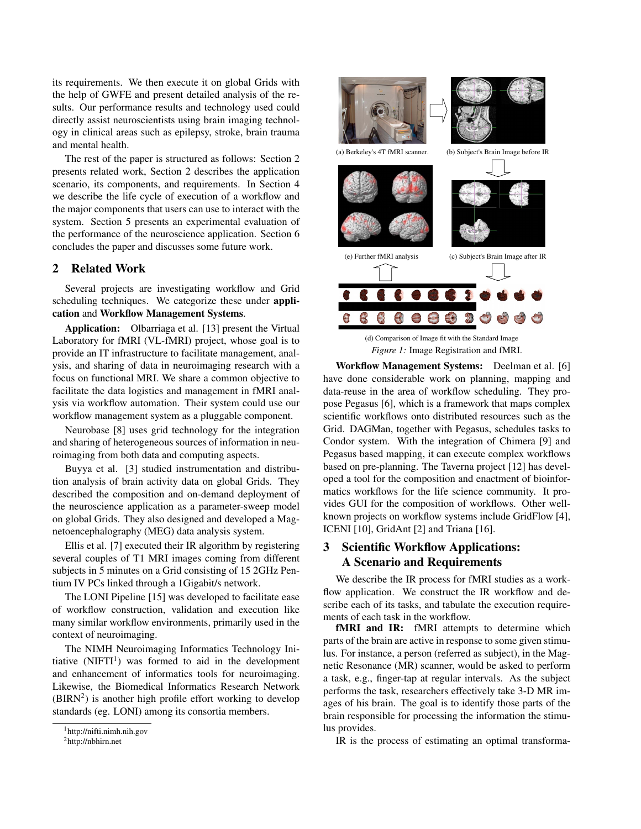its requirements. We then execute it on global Grids with the help of GWFE and present detailed analysis of the results. Our performance results and technology used could directly assist neuroscientists using brain imaging technology in clinical areas such as epilepsy, stroke, brain trauma and mental health.

The rest of the paper is structured as follows: Section 2 presents related work, Section 2 describes the application scenario, its components, and requirements. In Section 4 we describe the life cycle of execution of a workflow and the major components that users can use to interact with the system. Section 5 presents an experimental evaluation of the performance of the neuroscience application. Section 6 concludes the paper and discusses some future work.

# 2 Related Work

Several projects are investigating workflow and Grid scheduling techniques. We categorize these under application and Workflow Management Systems.

Application: Olbarriaga et al. [13] present the Virtual Laboratory for fMRI (VL-fMRI) project, whose goal is to provide an IT infrastructure to facilitate management, analysis, and sharing of data in neuroimaging research with a focus on functional MRI. We share a common objective to facilitate the data logistics and management in fMRI analysis via workflow automation. Their system could use our workflow management system as a pluggable component.

Neurobase [8] uses grid technology for the integration and sharing of heterogeneous sources of information in neuroimaging from both data and computing aspects.

Buyya et al. [3] studied instrumentation and distribution analysis of brain activity data on global Grids. They described the composition and on-demand deployment of the neuroscience application as a parameter-sweep model on global Grids. They also designed and developed a Magnetoencephalography (MEG) data analysis system.

Ellis et al. [7] executed their IR algorithm by registering several couples of T1 MRI images coming from different subjects in 5 minutes on a Grid consisting of 15 2GHz Pentium IV PCs linked through a 1Gigabit/s network.

The LONI Pipeline [15] was developed to facilitate ease of workflow construction, validation and execution like many similar workflow environments, primarily used in the context of neuroimaging.

The NIMH Neuroimaging Informatics Technology Initiative  $(NIFTI<sup>1</sup>)$  was formed to aid in the development and enhancement of informatics tools for neuroimaging. Likewise, the Biomedical Informatics Research Network  $(BIRN<sup>2</sup>)$  is another high profile effort working to develop standards (eg. LONI) among its consortia members.



(d) Comparison of Image fit with the Standard Image *Figure 1:* Image Registration and fMRI.

Workflow Management Systems: Deelman et al. [6] have done considerable work on planning, mapping and data-reuse in the area of workflow scheduling. They propose Pegasus [6], which is a framework that maps complex scientific workflows onto distributed resources such as the Grid. DAGMan, together with Pegasus, schedules tasks to Condor system. With the integration of Chimera [9] and Pegasus based mapping, it can execute complex workflows based on pre-planning. The Taverna project [12] has developed a tool for the composition and enactment of bioinformatics workflows for the life science community. It provides GUI for the composition of workflows. Other wellknown projects on workflow systems include GridFlow [4], ICENI [10], GridAnt [2] and Triana [16].

# 3 Scientific Workflow Applications: A Scenario and Requirements

We describe the IR process for fMRI studies as a workflow application. We construct the IR workflow and describe each of its tasks, and tabulate the execution requirements of each task in the workflow.

fMRI and IR: fMRI attempts to determine which parts of the brain are active in response to some given stimulus. For instance, a person (referred as subject), in the Magnetic Resonance (MR) scanner, would be asked to perform a task, e.g., finger-tap at regular intervals. As the subject performs the task, researchers effectively take 3-D MR images of his brain. The goal is to identify those parts of the brain responsible for processing the information the stimulus provides.

IR is the process of estimating an optimal transforma-

<sup>1</sup>http://nifti.nimh.nih.gov

 ${}^{2}$ http://nbhirn.net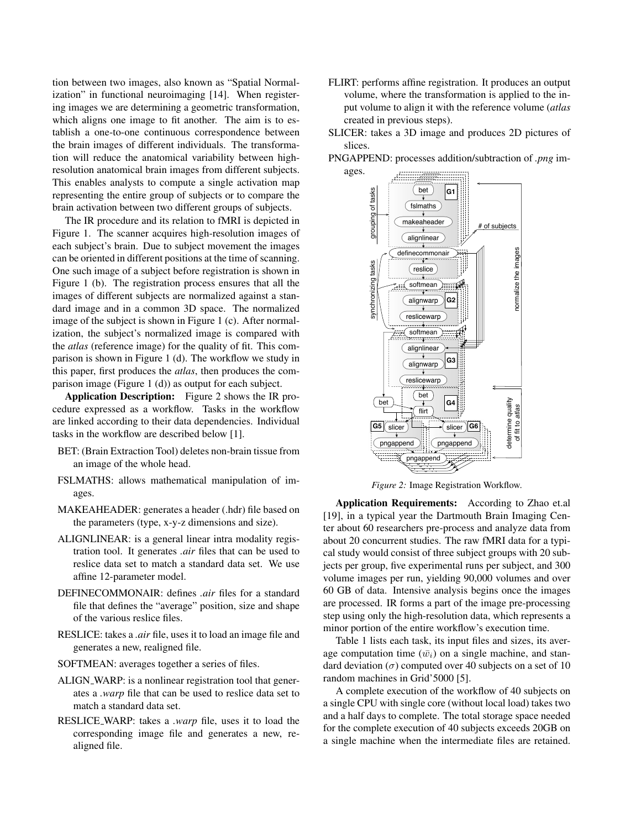tion between two images, also known as "Spatial Normalization" in functional neuroimaging [14]. When registering images we are determining a geometric transformation, which aligns one image to fit another. The aim is to establish a one-to-one continuous correspondence between the brain images of different individuals. The transformation will reduce the anatomical variability between highresolution anatomical brain images from different subjects. This enables analysts to compute a single activation map representing the entire group of subjects or to compare the brain activation between two different groups of subjects.

The IR procedure and its relation to fMRI is depicted in Figure 1. The scanner acquires high-resolution images of each subject's brain. Due to subject movement the images can be oriented in different positions at the time of scanning. One such image of a subject before registration is shown in Figure 1 (b). The registration process ensures that all the images of different subjects are normalized against a standard image and in a common 3D space. The normalized image of the subject is shown in Figure 1 (c). After normalization, the subject's normalized image is compared with the *atlas* (reference image) for the quality of fit. This comparison is shown in Figure 1 (d). The workflow we study in this paper, first produces the *atlas*, then produces the comparison image (Figure 1 (d)) as output for each subject.

Application Description: Figure 2 shows the IR procedure expressed as a workflow. Tasks in the workflow are linked according to their data dependencies. Individual tasks in the workflow are described below [1].

- BET: (Brain Extraction Tool) deletes non-brain tissue from an image of the whole head.
- FSLMATHS: allows mathematical manipulation of images.
- MAKEAHEADER: generates a header (.hdr) file based on the parameters (type, x-y-z dimensions and size).
- ALIGNLINEAR: is a general linear intra modality registration tool. It generates *.air* files that can be used to reslice data set to match a standard data set. We use affine 12-parameter model.
- DEFINECOMMONAIR: defines *.air* files for a standard file that defines the "average" position, size and shape of the various reslice files.
- RESLICE: takes a *.air* file, uses it to load an image file and generates a new, realigned file.
- SOFTMEAN: averages together a series of files.
- ALIGN\_WARP: is a nonlinear registration tool that generates a *.warp* file that can be used to reslice data set to match a standard data set.
- RESLICE WARP: takes a *.warp* file, uses it to load the corresponding image file and generates a new, realigned file.
- FLIRT: performs affine registration. It produces an output volume, where the transformation is applied to the input volume to align it with the reference volume (*atlas* created in previous steps).
- SLICER: takes a 3D image and produces 2D pictures of slices.
- PNGAPPEND: processes addition/subtraction of *.png* images.



*Figure 2:* Image Registration Workflow.

Application Requirements: According to Zhao et.al [19], in a typical year the Dartmouth Brain Imaging Center about 60 researchers pre-process and analyze data from about 20 concurrent studies. The raw fMRI data for a typical study would consist of three subject groups with 20 subjects per group, five experimental runs per subject, and 300 volume images per run, yielding 90,000 volumes and over 60 GB of data. Intensive analysis begins once the images are processed. IR forms a part of the image pre-processing step using only the high-resolution data, which represents a minor portion of the entire workflow's execution time.

Table 1 lists each task, its input files and sizes, its average computation time  $(\bar{w}_i)$  on a single machine, and standard deviation ( $\sigma$ ) computed over 40 subjects on a set of 10 random machines in Grid'5000 [5].

A complete execution of the workflow of 40 subjects on a single CPU with single core (without local load) takes two and a half days to complete. The total storage space needed for the complete execution of 40 subjects exceeds 20GB on a single machine when the intermediate files are retained.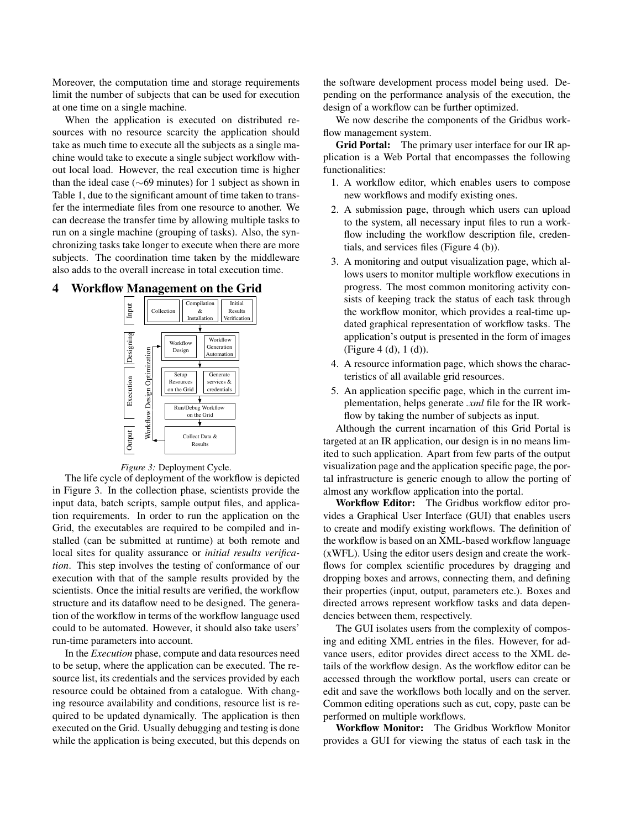Moreover, the computation time and storage requirements limit the number of subjects that can be used for execution at one time on a single machine.

When the application is executed on distributed resources with no resource scarcity the application should take as much time to execute all the subjects as a single machine would take to execute a single subject workflow without local load. However, the real execution time is higher than the ideal case (∼69 minutes) for 1 subject as shown in Table 1, due to the significant amount of time taken to transfer the intermediate files from one resource to another. We can decrease the transfer time by allowing multiple tasks to run on a single machine (grouping of tasks). Also, the synchronizing tasks take longer to execute when there are more subjects. The coordination time taken by the middleware also adds to the overall increase in total execution time.

# 4 Workflow Management on the Grid



*Figure 3:* Deployment Cycle.

The life cycle of deployment of the workflow is depicted in Figure 3. In the collection phase, scientists provide the input data, batch scripts, sample output files, and application requirements. In order to run the application on the Grid, the executables are required to be compiled and installed (can be submitted at runtime) at both remote and local sites for quality assurance or *initial results verification*. This step involves the testing of conformance of our execution with that of the sample results provided by the scientists. Once the initial results are verified, the workflow structure and its dataflow need to be designed. The generation of the workflow in terms of the workflow language used could to be automated. However, it should also take users' run-time parameters into account.

In the *Execution* phase, compute and data resources need to be setup, where the application can be executed. The resource list, its credentials and the services provided by each resource could be obtained from a catalogue. With changing resource availability and conditions, resource list is required to be updated dynamically. The application is then executed on the Grid. Usually debugging and testing is done while the application is being executed, but this depends on the software development process model being used. Depending on the performance analysis of the execution, the design of a workflow can be further optimized.

We now describe the components of the Gridbus workflow management system.

Grid Portal: The primary user interface for our IR application is a Web Portal that encompasses the following functionalities:

- 1. A workflow editor, which enables users to compose new workflows and modify existing ones.
- 2. A submission page, through which users can upload to the system, all necessary input files to run a workflow including the workflow description file, credentials, and services files (Figure 4 (b)).
- 3. A monitoring and output visualization page, which allows users to monitor multiple workflow executions in progress. The most common monitoring activity consists of keeping track the status of each task through the workflow monitor, which provides a real-time updated graphical representation of workflow tasks. The application's output is presented in the form of images (Figure 4 (d), 1 (d)).
- 4. A resource information page, which shows the characteristics of all available grid resources.
- 5. An application specific page, which in the current implementation, helps generate *.xml* file for the IR workflow by taking the number of subjects as input.

Although the current incarnation of this Grid Portal is targeted at an IR application, our design is in no means limited to such application. Apart from few parts of the output visualization page and the application specific page, the portal infrastructure is generic enough to allow the porting of almost any workflow application into the portal.

Workflow Editor: The Gridbus workflow editor provides a Graphical User Interface (GUI) that enables users to create and modify existing workflows. The definition of the workflow is based on an XML-based workflow language (xWFL). Using the editor users design and create the workflows for complex scientific procedures by dragging and dropping boxes and arrows, connecting them, and defining their properties (input, output, parameters etc.). Boxes and directed arrows represent workflow tasks and data dependencies between them, respectively.

The GUI isolates users from the complexity of composing and editing XML entries in the files. However, for advance users, editor provides direct access to the XML details of the workflow design. As the workflow editor can be accessed through the workflow portal, users can create or edit and save the workflows both locally and on the server. Common editing operations such as cut, copy, paste can be performed on multiple workflows.

Workflow Monitor: The Gridbus Workflow Monitor provides a GUI for viewing the status of each task in the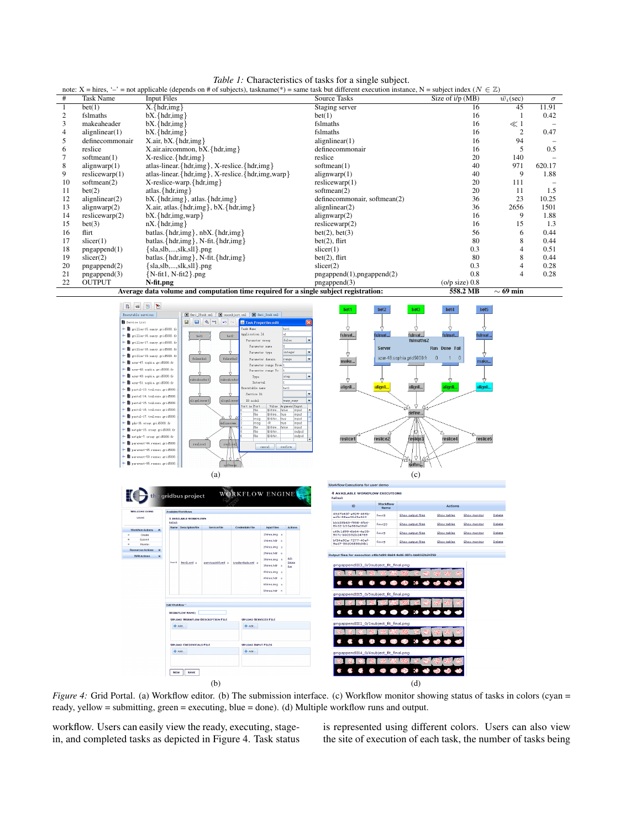| Table 1: Characteristics of tasks for a single subject. |  |  |  |
|---------------------------------------------------------|--|--|--|
|                                                         |  |  |  |

| note: X = hires, '-' = not applicable (depends on # of subjects), taskname(*) = same task but different execution instance, N = subject index ( $N \in \mathbb{Z}$ ) |                                                                                      |                                                       |                              |                    |                   |          |  |  |  |  |
|----------------------------------------------------------------------------------------------------------------------------------------------------------------------|--------------------------------------------------------------------------------------|-------------------------------------------------------|------------------------------|--------------------|-------------------|----------|--|--|--|--|
| #                                                                                                                                                                    | <b>Task Name</b>                                                                     | <b>Input Files</b>                                    | <b>Source Tasks</b>          | Size of $i/p$ (MB) | $\bar{w}_i$ (sec) | $\sigma$ |  |  |  |  |
|                                                                                                                                                                      | bet(1)                                                                               | $X.$ {hdr,img}                                        | Staging server               | 16                 | 45                | 11.91    |  |  |  |  |
| $\overline{c}$                                                                                                                                                       | fslmaths                                                                             | $bX.$ {hdr,img}                                       | bet(1)                       | 16                 |                   | 0.42     |  |  |  |  |
| 3                                                                                                                                                                    | makeaheader                                                                          | $bX.$ {hdr,img}                                       | fslmaths                     | 16                 | $\ll 1$           |          |  |  |  |  |
| 4                                                                                                                                                                    | alignlinear(1)                                                                       | $bX.\{hdr, img\}$                                     | fslmaths                     | 16                 | $\overline{2}$    | 0.47     |  |  |  |  |
| 5                                                                                                                                                                    | definecommonair                                                                      | $X.air, bX. \{ hdr, img \}$                           | alignlinear(1)               | 16                 | 94                |          |  |  |  |  |
| 6                                                                                                                                                                    | reslice                                                                              | X.air.aircommon, bX. {hdr,img}                        | definecommonair              | 16                 |                   | 0.5      |  |  |  |  |
|                                                                                                                                                                      | softmean $(1)$                                                                       | $X$ -reslice. { $hdr, img$ }                          | reslice                      | 20                 | 140               |          |  |  |  |  |
| 8                                                                                                                                                                    | alignwarp $(1)$                                                                      | atlas-linear. {hdr,img}, X-reslice. {hdr,img}         | softmean $(1)$               | 40                 | 971               | 620.17   |  |  |  |  |
| 9                                                                                                                                                                    | reslicewarp(1)                                                                       | atlas-linear. {hdr,img}, X-reslice. {hdr,img,warp}    | alignwarp(1)                 | 40                 | 9                 | 1.88     |  |  |  |  |
| 10                                                                                                                                                                   | softmean $(2)$                                                                       | $X$ -reslice-warp. { $hdr, img$ }                     | reslicewarp(1)               | 20                 | 111               |          |  |  |  |  |
| 11                                                                                                                                                                   | bet(2)                                                                               | atlas. $\{hdr, img\}$                                 | softmean $(2)$               | 20                 | 11                | 1.5      |  |  |  |  |
| 12                                                                                                                                                                   | alignlinear $(2)$                                                                    | $bX$ . {hdr,img}, atlas. {hdr,img}                    | definecommonair, softmean(2) | 36                 | 23                | 10.25    |  |  |  |  |
| 13                                                                                                                                                                   | alignwarp $(2)$                                                                      | $X.$ air, atlas. { $hdr, img$ }, $bX.$ { $hdr, img$ } | alignlinear(2)               | 36                 | 2656              | 1501     |  |  |  |  |
| 14                                                                                                                                                                   | reslicewarp(2)                                                                       | $bX.$ {hdr,img,warp}                                  | alignwarp $(2)$              | 16                 | 9                 | 1.88     |  |  |  |  |
| 15                                                                                                                                                                   | bet(3)                                                                               | $nX.\{hdr, img\}$                                     | reslicewarp(2)               | 16                 | 15                | 1.3      |  |  |  |  |
| 16                                                                                                                                                                   | flirt                                                                                | batlas. {hdr,img}, nbX. {hdr,img}                     | bet(2), bet(3)               | 56                 | 6                 | 0.44     |  |  |  |  |
| 17                                                                                                                                                                   | slicer(1)                                                                            | batlas. {hdr,img}, N-fit. {hdr,img}                   | $bet(2)$ , flirt             | 80                 | 8                 | 0.44     |  |  |  |  |
| 18                                                                                                                                                                   | pngappend(1)                                                                         | ${sla, slb, , slk, sll}$ .png                         | slicer(1)                    | 0.3                |                   | 0.51     |  |  |  |  |
| 19                                                                                                                                                                   | slicer(2)                                                                            | batlas. $\{hdr, img\}$ , N-fit. $\{hdr, img\}$        | $bet(2)$ , flirt             | 80                 | 8                 | 0.44     |  |  |  |  |
| 20                                                                                                                                                                   | pngappend(2)                                                                         | ${sla, slb, , slk, sll}$ .png                         | slicer(2)                    | 0.3                | 4                 | 0.28     |  |  |  |  |
| 21                                                                                                                                                                   | $p$ ngappend $(3)$                                                                   | $\{N\text{-fit1}, N\text{-fit2}\}$ .png               | pngappend(1),pngappend(2)    | 0.8                | 4                 | 0.28     |  |  |  |  |
| 22                                                                                                                                                                   | <b>OUTPUT</b>                                                                        | N-fit.png                                             | pngappend(3)                 | (o/p size) 0.8     |                   |          |  |  |  |  |
|                                                                                                                                                                      | Average data volume and computation time required for a single subject registration: | 558.2 MB                                              | $\sim$ 69 min                |                    |                   |          |  |  |  |  |



*Figure 4:* Grid Portal. (a) Workflow editor. (b) The submission interface. (c) Workflow monitor showing status of tasks in colors (cyan = ready, yellow = submitting, green = executing, blue = done). (d) Multiple workflow runs and output.

workflow. Users can easily view the ready, executing, stagein, and completed tasks as depicted in Figure 4. Task status is represented using different colors. Users can also view the site of execution of each task, the number of tasks being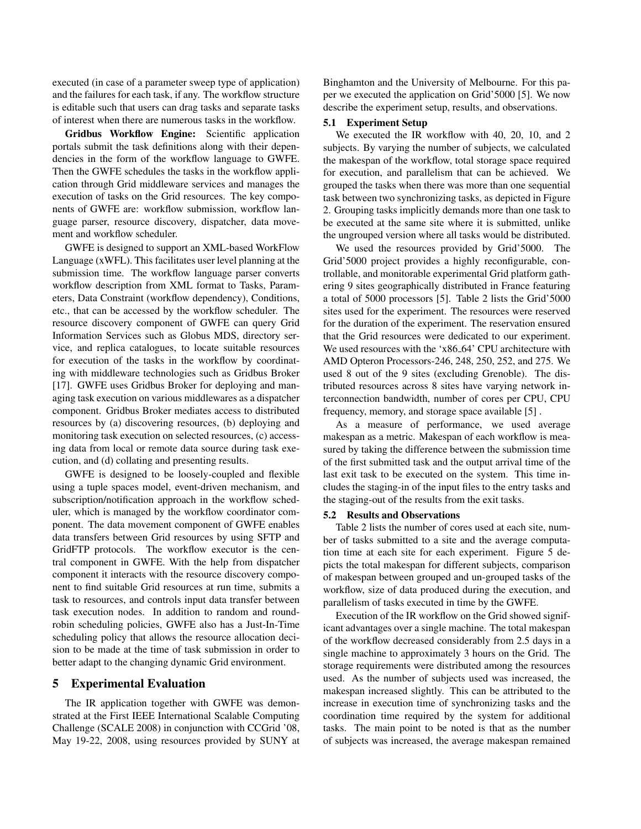executed (in case of a parameter sweep type of application) and the failures for each task, if any. The workflow structure is editable such that users can drag tasks and separate tasks of interest when there are numerous tasks in the workflow.

Gridbus Workflow Engine: Scientific application portals submit the task definitions along with their dependencies in the form of the workflow language to GWFE. Then the GWFE schedules the tasks in the workflow application through Grid middleware services and manages the execution of tasks on the Grid resources. The key components of GWFE are: workflow submission, workflow language parser, resource discovery, dispatcher, data movement and workflow scheduler.

GWFE is designed to support an XML-based WorkFlow Language (xWFL). This facilitates user level planning at the submission time. The workflow language parser converts workflow description from XML format to Tasks, Parameters, Data Constraint (workflow dependency), Conditions, etc., that can be accessed by the workflow scheduler. The resource discovery component of GWFE can query Grid Information Services such as Globus MDS, directory service, and replica catalogues, to locate suitable resources for execution of the tasks in the workflow by coordinating with middleware technologies such as Gridbus Broker [17]. GWFE uses Gridbus Broker for deploying and managing task execution on various middlewares as a dispatcher component. Gridbus Broker mediates access to distributed resources by (a) discovering resources, (b) deploying and monitoring task execution on selected resources, (c) accessing data from local or remote data source during task execution, and (d) collating and presenting results.

GWFE is designed to be loosely-coupled and flexible using a tuple spaces model, event-driven mechanism, and subscription/notification approach in the workflow scheduler, which is managed by the workflow coordinator component. The data movement component of GWFE enables data transfers between Grid resources by using SFTP and GridFTP protocols. The workflow executor is the central component in GWFE. With the help from dispatcher component it interacts with the resource discovery component to find suitable Grid resources at run time, submits a task to resources, and controls input data transfer between task execution nodes. In addition to random and roundrobin scheduling policies, GWFE also has a Just-In-Time scheduling policy that allows the resource allocation decision to be made at the time of task submission in order to better adapt to the changing dynamic Grid environment.

## 5 Experimental Evaluation

The IR application together with GWFE was demonstrated at the First IEEE International Scalable Computing Challenge (SCALE 2008) in conjunction with CCGrid '08, May 19-22, 2008, using resources provided by SUNY at Binghamton and the University of Melbourne. For this paper we executed the application on Grid'5000 [5]. We now describe the experiment setup, results, and observations.

#### 5.1 Experiment Setup

We executed the IR workflow with 40, 20, 10, and 2 subjects. By varying the number of subjects, we calculated the makespan of the workflow, total storage space required for execution, and parallelism that can be achieved. We grouped the tasks when there was more than one sequential task between two synchronizing tasks, as depicted in Figure 2. Grouping tasks implicitly demands more than one task to be executed at the same site where it is submitted, unlike the ungrouped version where all tasks would be distributed.

We used the resources provided by Grid'5000. The Grid'5000 project provides a highly reconfigurable, controllable, and monitorable experimental Grid platform gathering 9 sites geographically distributed in France featuring a total of 5000 processors [5]. Table 2 lists the Grid'5000 sites used for the experiment. The resources were reserved for the duration of the experiment. The reservation ensured that the Grid resources were dedicated to our experiment. We used resources with the 'x86\_64' CPU architecture with AMD Opteron Processors-246, 248, 250, 252, and 275. We used 8 out of the 9 sites (excluding Grenoble). The distributed resources across 8 sites have varying network interconnection bandwidth, number of cores per CPU, CPU frequency, memory, and storage space available [5] .

As a measure of performance, we used average makespan as a metric. Makespan of each workflow is measured by taking the difference between the submission time of the first submitted task and the output arrival time of the last exit task to be executed on the system. This time includes the staging-in of the input files to the entry tasks and the staging-out of the results from the exit tasks.

#### 5.2 Results and Observations

Table 2 lists the number of cores used at each site, number of tasks submitted to a site and the average computation time at each site for each experiment. Figure 5 depicts the total makespan for different subjects, comparison of makespan between grouped and un-grouped tasks of the workflow, size of data produced during the execution, and parallelism of tasks executed in time by the GWFE.

Execution of the IR workflow on the Grid showed significant advantages over a single machine. The total makespan of the workflow decreased considerably from 2.5 days in a single machine to approximately 3 hours on the Grid. The storage requirements were distributed among the resources used. As the number of subjects used was increased, the makespan increased slightly. This can be attributed to the increase in execution time of synchronizing tasks and the coordination time required by the system for additional tasks. The main point to be noted is that as the number of subjects was increased, the average makespan remained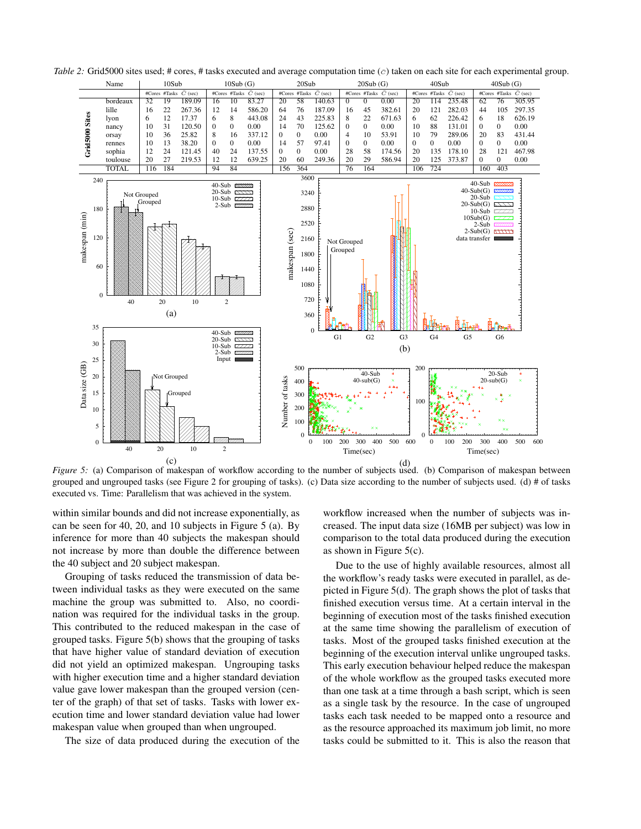

*Table 2:* Grid5000 sites used; # cores, # tasks executed and average computation time  $(\bar{c})$  taken on each site for each experimental group.

(d) *Figure 5:* (a) Comparison of makespan of workflow according to the number of subjects used. (b) Comparison of makespan between grouped and ungrouped tasks (see Figure 2 for grouping of tasks). (c) Data size according to the number of subjects used. (d) # of tasks executed vs. Time: Parallelism that was achieved in the system.

within similar bounds and did not increase exponentially, as can be seen for 40, 20, and 10 subjects in Figure 5 (a). By inference for more than 40 subjects the makespan should not increase by more than double the difference between the 40 subject and 20 subject makespan.

Grouping of tasks reduced the transmission of data between individual tasks as they were executed on the same machine the group was submitted to. Also, no coordination was required for the individual tasks in the group. This contributed to the reduced makespan in the case of grouped tasks. Figure 5(b) shows that the grouping of tasks that have higher value of standard deviation of execution did not yield an optimized makespan. Ungrouping tasks with higher execution time and a higher standard deviation value gave lower makespan than the grouped version (center of the graph) of that set of tasks. Tasks with lower execution time and lower standard deviation value had lower makespan value when grouped than when ungrouped.

The size of data produced during the execution of the

workflow increased when the number of subjects was increased. The input data size (16MB per subject) was low in comparison to the total data produced during the execution as shown in Figure 5(c).

Due to the use of highly available resources, almost all the workflow's ready tasks were executed in parallel, as depicted in Figure 5(d). The graph shows the plot of tasks that finished execution versus time. At a certain interval in the beginning of execution most of the tasks finished execution at the same time showing the parallelism of execution of tasks. Most of the grouped tasks finished execution at the beginning of the execution interval unlike ungrouped tasks. This early execution behaviour helped reduce the makespan of the whole workflow as the grouped tasks executed more than one task at a time through a bash script, which is seen as a single task by the resource. In the case of ungrouped tasks each task needed to be mapped onto a resource and as the resource approached its maximum job limit, no more tasks could be submitted to it. This is also the reason that